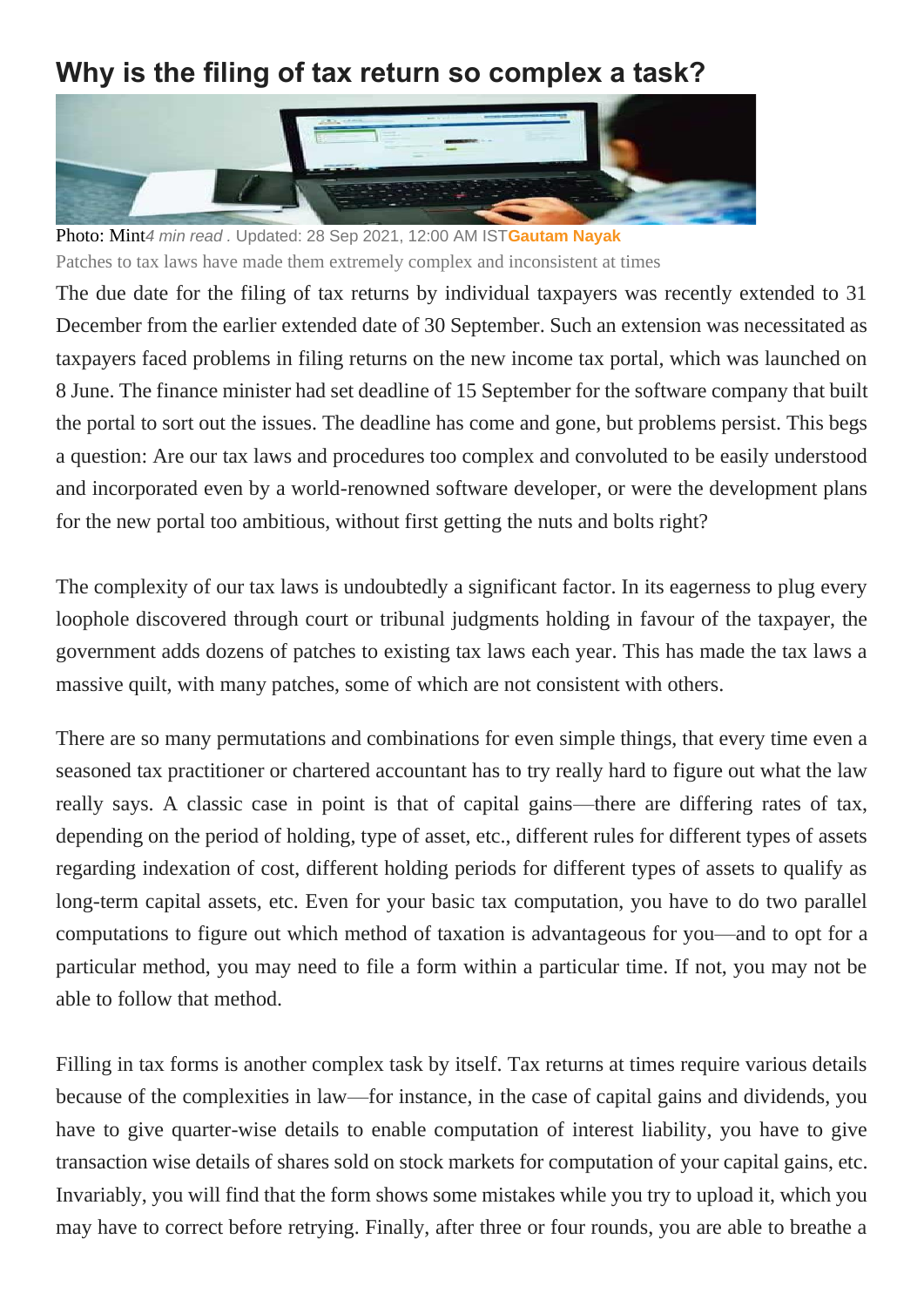## **Why is the filing of tax return so complex a task?**



Photo: Mint*4 min read .* Updated: 28 Sep 2021, 12:00 AM IST**[Gautam Nayak](https://www.livemint.com/Search/Link/Author/Gautam-Nayak)** Patches to tax laws have made them extremely complex and inconsistent at times

The due date for the filing of tax returns by individual taxpayers was recently extended to 31 December from the earlier extended date of 30 September. Such an extension was necessitated as taxpayers faced problems in filing returns on the new income tax portal, which was launched on 8 June. The finance minister had set deadline of 15 September for the software company that built the portal to sort out the issues. The deadline has come and gone, but problems persist. This begs a question: Are our tax laws and procedures too complex and convoluted to be easily understood and incorporated even by a world-renowned software developer, or were the development plans for the new portal too ambitious, without first getting the nuts and bolts right?

The complexity of our tax laws is undoubtedly a significant factor. In its eagerness to plug every loophole discovered through court or tribunal judgments holding in favour of the taxpayer, the government adds dozens of patches to existing tax laws each year. This has made the tax laws a massive quilt, with many patches, some of which are not consistent with others.

There are so many permutations and combinations for even simple things, that every time even a seasoned tax practitioner or chartered accountant has to try really hard to figure out what the law really says. A classic case in point is that of capital gains—there are differing rates of tax, depending on the period of holding, type of asset, etc., different rules for different types of assets regarding indexation of cost, different holding periods for different types of assets to qualify as long-term capital assets, etc. Even for your basic tax computation, you have to do two parallel computations to figure out which method of taxation is advantageous for you—and to opt for a particular method, you may need to file a form within a particular time. If not, you may not be able to follow that method.

Filling in tax forms is another complex task by itself. Tax returns at times require various details because of the complexities in law—for instance, in the case of capital gains and dividends, you have to give quarter-wise details to enable computation of interest liability, you have to give transaction wise details of shares sold on stock markets for computation of your capital gains, etc. Invariably, you will find that the form shows some mistakes while you try to upload it, which you may have to correct before retrying. Finally, after three or four rounds, you are able to breathe a